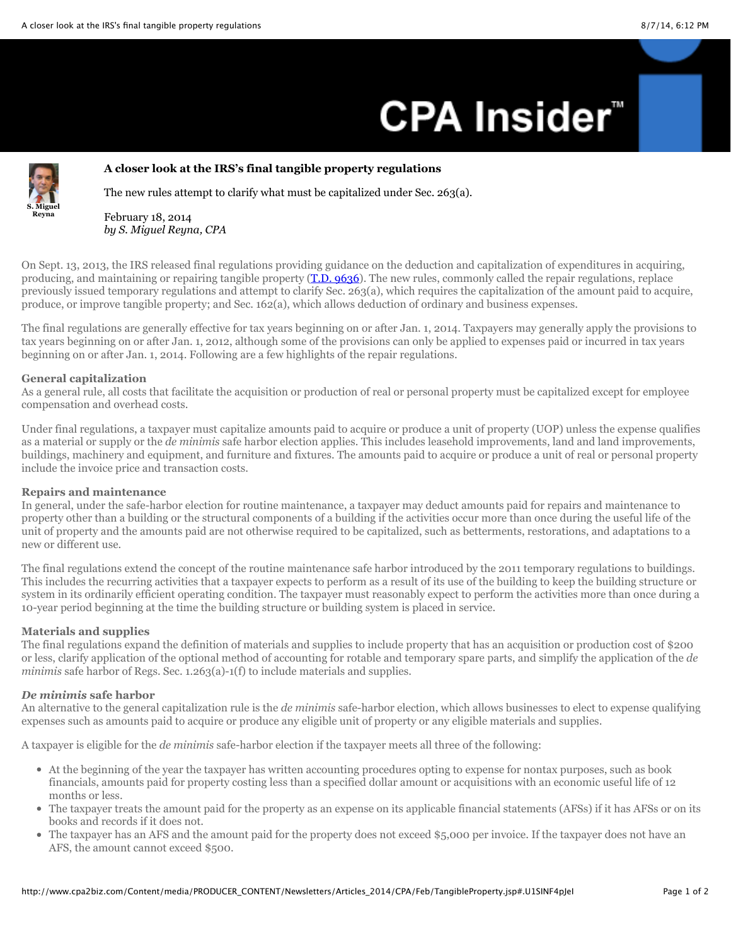# **CPA Insider<sup>"</sup>**



# **A closer look at the IRS's final tangible property regulations**

The new rules attempt to clarify what must be capitalized under Sec. 263(a).

February 18, 2014 *by S. Miguel Reyna, CPA*

On Sept. 13, 2013, the IRS released final regulations providing guidance on the deduction and capitalization of expenditures in acquiring, producing, and maintaining or repairing tangible property [\(T.D. 9636](https://www.federalregister.gov/articles/2013/09/19/2013-21756/guidance-regarding-deduction-and-capitalization-of-expenditures-related-to-tangible-property)). The new rules, commonly called the repair regulations, replace previously issued temporary regulations and attempt to clarify Sec. 263(a), which requires the capitalization of the amount paid to acquire, produce, or improve tangible property; and Sec. 162(a), which allows deduction of ordinary and business expenses.

The final regulations are generally effective for tax years beginning on or after Jan. 1, 2014. Taxpayers may generally apply the provisions to tax years beginning on or after Jan. 1, 2012, although some of the provisions can only be applied to expenses paid or incurred in tax years beginning on or after Jan. 1, 2014. Following are a few highlights of the repair regulations.

# **General capitalization**

As a general rule, all costs that facilitate the acquisition or production of real or personal property must be capitalized except for employee compensation and overhead costs.

Under final regulations, a taxpayer must capitalize amounts paid to acquire or produce a unit of property (UOP) unless the expense qualifies as a material or supply or the *de minimis* safe harbor election applies. This includes leasehold improvements, land and land improvements, buildings, machinery and equipment, and furniture and fixtures. The amounts paid to acquire or produce a unit of real or personal property include the invoice price and transaction costs.

# **Repairs and maintenance**

In general, under the safe-harbor election for routine maintenance, a taxpayer may deduct amounts paid for repairs and maintenance to property other than a building or the structural components of a building if the activities occur more than once during the useful life of the unit of property and the amounts paid are not otherwise required to be capitalized, such as betterments, restorations, and adaptations to a new or different use.

The final regulations extend the concept of the routine maintenance safe harbor introduced by the 2011 temporary regulations to buildings. This includes the recurring activities that a taxpayer expects to perform as a result of its use of the building to keep the building structure or system in its ordinarily efficient operating condition. The taxpayer must reasonably expect to perform the activities more than once during a 10-year period beginning at the time the building structure or building system is placed in service.

#### **Materials and supplies**

The final regulations expand the definition of materials and supplies to include property that has an acquisition or production cost of \$200 or less, clarify application of the optional method of accounting for rotable and temporary spare parts, and simplify the application of the *de minimis* safe harbor of Regs. Sec. 1.263(a)-1(f) to include materials and supplies.

#### *De minimis* **safe harbor**

An alternative to the general capitalization rule is the *de minimis* safe-harbor election, which allows businesses to elect to expense qualifying expenses such as amounts paid to acquire or produce any eligible unit of property or any eligible materials and supplies.

A taxpayer is eligible for the *de minimis* safe-harbor election if the taxpayer meets all three of the following:

- At the beginning of the year the taxpayer has written accounting procedures opting to expense for nontax purposes, such as book financials, amounts paid for property costing less than a specified dollar amount or acquisitions with an economic useful life of 12 months or less.
- The taxpayer treats the amount paid for the property as an expense on its applicable financial statements (AFSs) if it has AFSs or on its books and records if it does not.
- The taxpayer has an AFS and the amount paid for the property does not exceed \$5,000 per invoice. If the taxpayer does not have an  $\bullet$ AFS, the amount cannot exceed \$500.